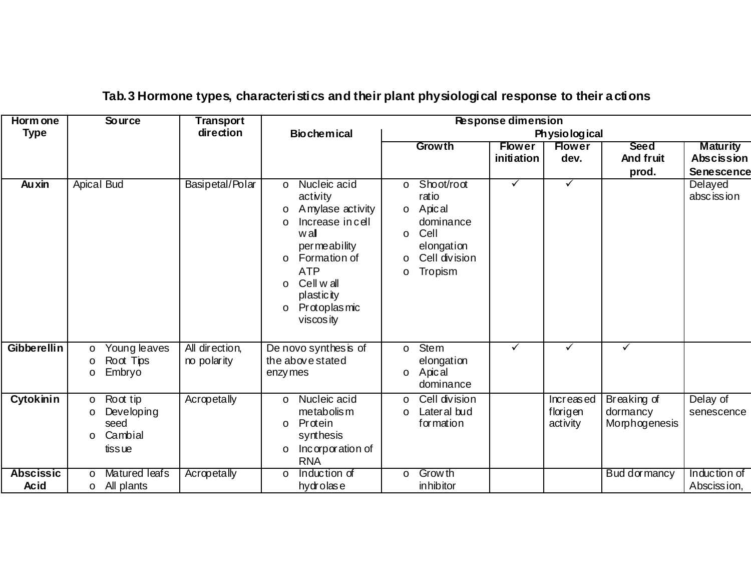| Horm one<br><b>Type</b> | <b>Source</b>                                                                        | <b>Transport</b><br>direction | <b>Response dimension</b>                                                                                                                                                                                                                     |                                                                                                                                         |                             |                                   |                                          |                                                           |  |
|-------------------------|--------------------------------------------------------------------------------------|-------------------------------|-----------------------------------------------------------------------------------------------------------------------------------------------------------------------------------------------------------------------------------------------|-----------------------------------------------------------------------------------------------------------------------------------------|-----------------------------|-----------------------------------|------------------------------------------|-----------------------------------------------------------|--|
|                         |                                                                                      |                               | <b>Biochemical</b>                                                                                                                                                                                                                            | Physiological                                                                                                                           |                             |                                   |                                          |                                                           |  |
|                         |                                                                                      |                               |                                                                                                                                                                                                                                               | Growth                                                                                                                                  | <b>Flower</b><br>initiation | <b>Flower</b><br>dev.             | <b>Seed</b><br>And fruit<br>prod.        | <b>Maturity</b><br><b>Abscission</b><br><b>Senescence</b> |  |
| <b>Auxin</b>            | <b>Apical Bud</b>                                                                    | Basipetal/Polar               | Nucleic acid<br>$\circ$<br>activity<br>Amylase activity<br>O<br>Increase in cell<br>$\circ$<br>wall<br>permeability<br>Formation of<br>$\circ$<br><b>ATP</b><br>Cell w all<br>$\circ$<br>plastic ity<br>Protoplasmic<br>$\circ$<br>viscos ity | Shoot/root<br>$\circ$<br>ratio<br>Apical<br>$\circ$<br>dominance<br>Cell<br>$\circ$<br>elongation<br>Cell division<br>O<br>Tropism<br>O | ✓                           | $\checkmark$                      |                                          | Delayed<br>absc iss ion                                   |  |
| Gibberellin             | Young leaves<br>$\circ$                                                              | All direction,                | De novo synthes is of                                                                                                                                                                                                                         | Stem<br>$\circ$                                                                                                                         | ✓                           | $\checkmark$                      | $\checkmark$                             |                                                           |  |
|                         | Root Tips<br>$\circ$<br>Embryo<br>$\circ$                                            | no polarity                   | the above stated<br>enzy mes                                                                                                                                                                                                                  | elongation<br>Apical<br>$\circ$<br>dominance                                                                                            |                             |                                   |                                          |                                                           |  |
| <b>Cytokinin</b>        | Root tip<br>$\circ$<br>Developing<br>$\circ$<br>seed<br>Cambial<br>$\circ$<br>tissue | Acropetally                   | Nucleic acid<br>$\circ$<br>metabolis m<br>Protein<br>$\circ$<br>synthesis<br>Incorporation of<br>$\circ$<br><b>RNA</b>                                                                                                                        | Cell division<br>$\circ$<br>Lateral bud<br>O<br>formation                                                                               |                             | Increased<br>florigen<br>activity | Breaking of<br>dormancy<br>Morphogenesis | Delay of<br>senescence                                    |  |
| <b>Abscissic</b>        | Matured leafs<br>$\circ$                                                             | Acropetally                   | Induction of<br>$\circ$                                                                                                                                                                                                                       | Grow th<br>$\circ$                                                                                                                      |                             |                                   | Bud dormancy                             | Induction of                                              |  |
| <b>Acid</b>             | o All plants                                                                         |                               | hydrolase                                                                                                                                                                                                                                     | in hibitor                                                                                                                              |                             |                                   |                                          | Absciss ion,                                              |  |

## **Tab.3 Hormone types, characteristics and their plant physiological response to their actions**